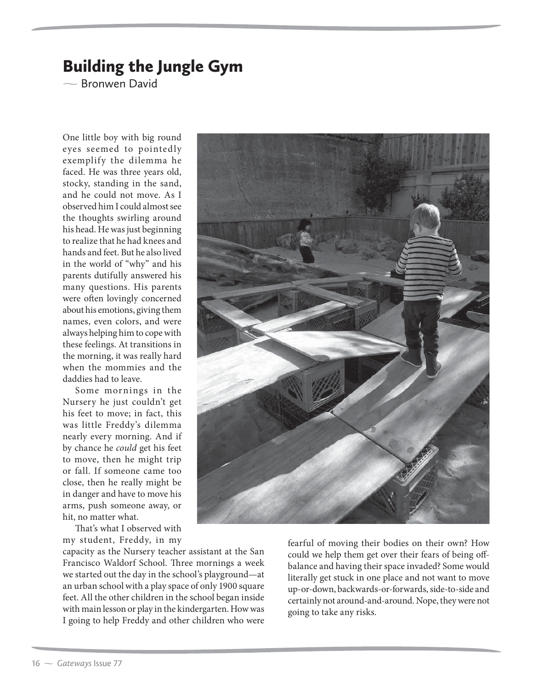## Building the Jungle Gym

 $\overline{\phantom{0}}$ Bronwen David

One little boy with big round eyes seemed to pointedly exemplify the dilemma he faced. He was three years old, stocky, standing in the sand, and he could not move. As I observed him I could almost see the thoughts swirling around his head. He was just beginning to realize that he had knees and hands and feet. But he also lived in the world of "why" and his parents dutifully answered his many questions. His parents were often lovingly concerned about his emotions, giving them names, even colors, and were always helping him to cope with these feelings. At transitions in the morning, it was really hard when the mommies and the daddies had to leave.

Some mornings in the Nursery he just couldn't get his feet to move; in fact, this was little Freddy's dilemma nearly every morning. And if by chance he *could* get his feet to move, then he might trip or fall. If someone came too close, then he really might be in danger and have to move his arms, push someone away, or hit, no matter what.

That's what I observed with my student, Freddy, in my

capacity as the Nursery teacher assistant at the San Francisco Waldorf School. Three mornings a week we started out the day in the school's playground—at an urban school with a play space of only 1900 square feet. All the other children in the school began inside with main lesson or play in the kindergarten. How was I going to help Freddy and other children who were



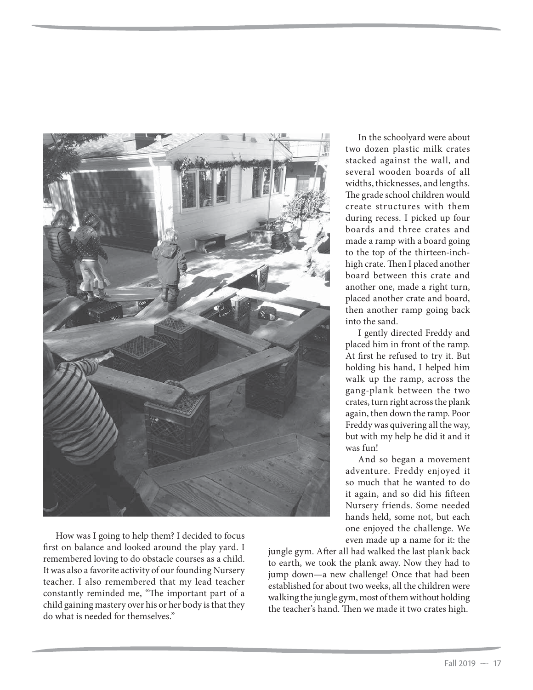

How was I going to help them? I decided to focus first on balance and looked around the play yard. I remembered loving to do obstacle courses as a child. It was also a favorite activity of our founding Nursery teacher. I also remembered that my lead teacher constantly reminded me, "The important part of a child gaining mastery over his or her body is that they do what is needed for themselves."

In the schoolyard were about two dozen plastic milk crates stacked against the wall, and several wooden boards of all widths, thicknesses, and lengths. The grade school children would create structures with them during recess. I picked up four boards and three crates and made a ramp with a board going to the top of the thirteen-inchhigh crate. Then I placed another board between this crate and another one, made a right turn, placed another crate and board, then another ramp going back into the sand.

I gently directed Freddy and placed him in front of the ramp. At first he refused to try it. But holding his hand, I helped him walk up the ramp, across the gang-plank between the two crates, turn right across the plank again, then down the ramp. Poor Freddy was quivering all the way, but with my help he did it and it was fun!

And so began a movement adventure. Freddy enjoyed it so much that he wanted to do it again, and so did his fifteen Nursery friends. Some needed hands held, some not, but each one enjoyed the challenge. We even made up a name for it: the

jungle gym. After all had walked the last plank back to earth, we took the plank away. Now they had to jump down—a new challenge! Once that had been established for about two weeks, all the children were walking the jungle gym, most of them without holding the teacher's hand. Then we made it two crates high.